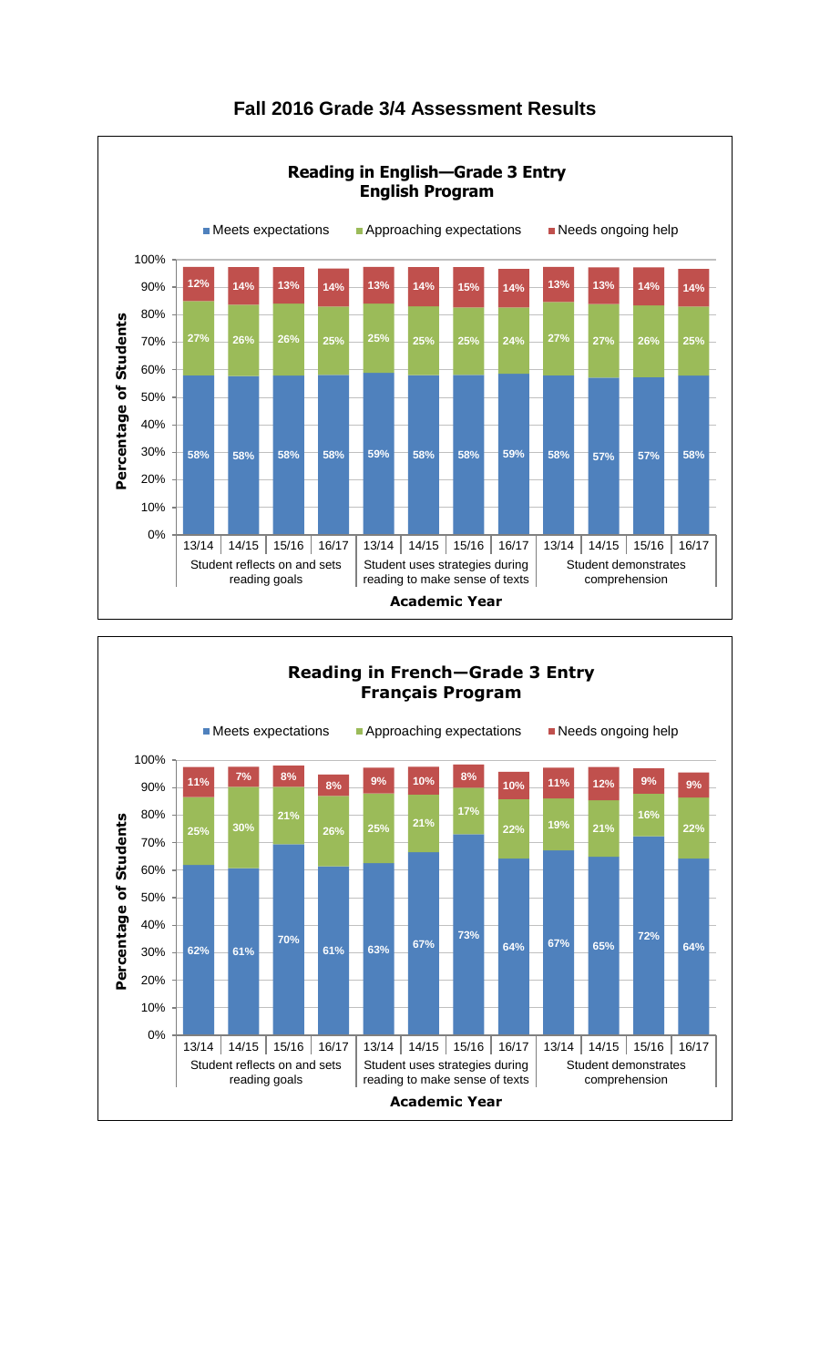



## **Fall 2016 Grade 3/4 Assessment Results**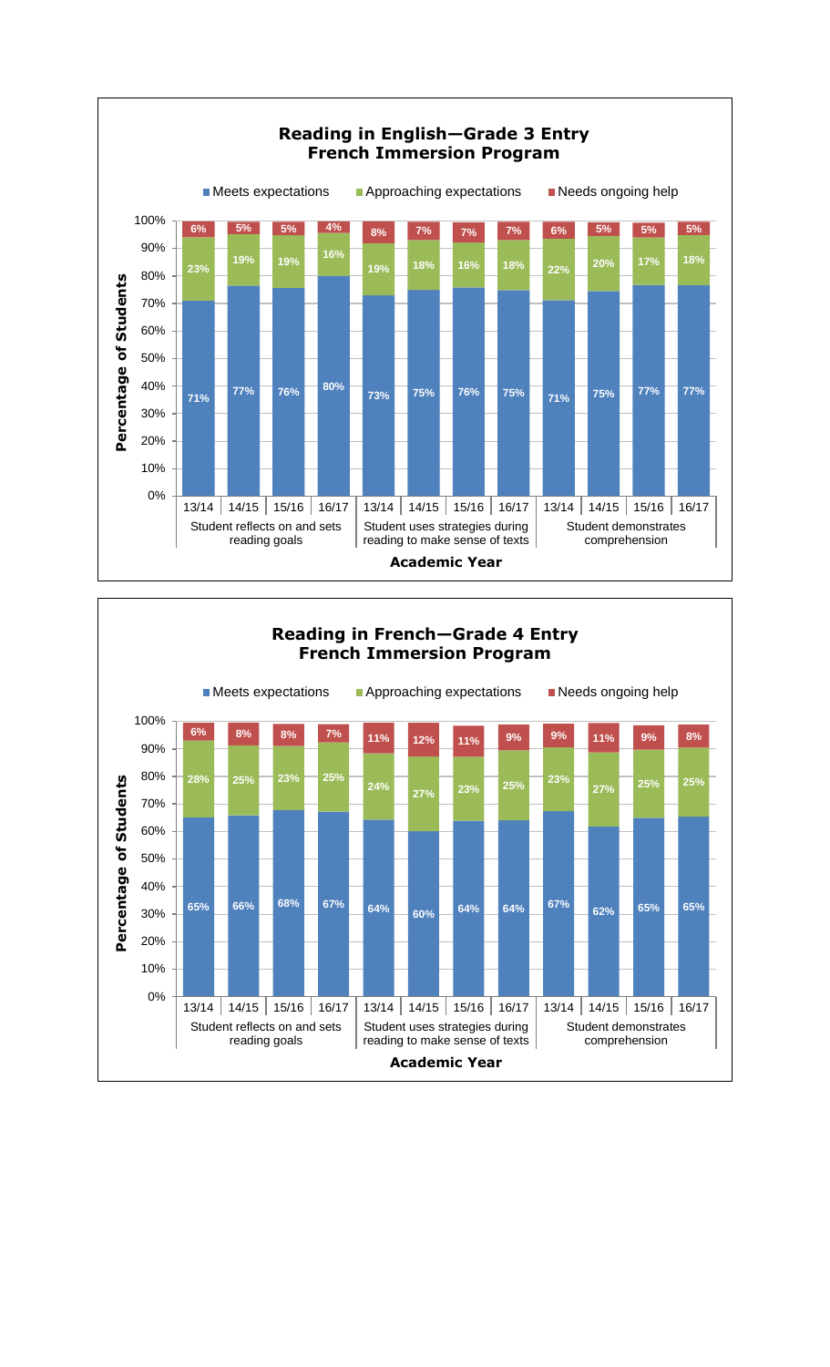

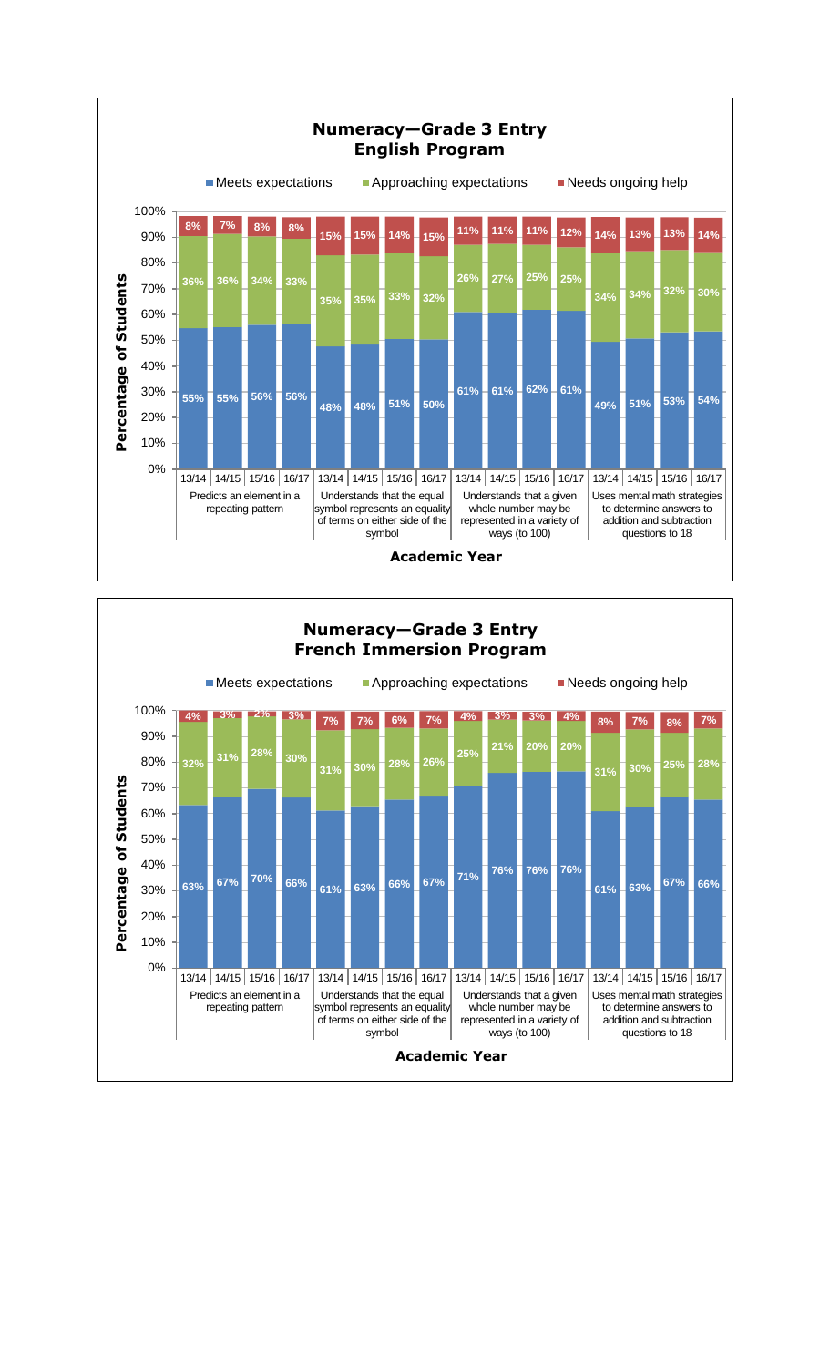